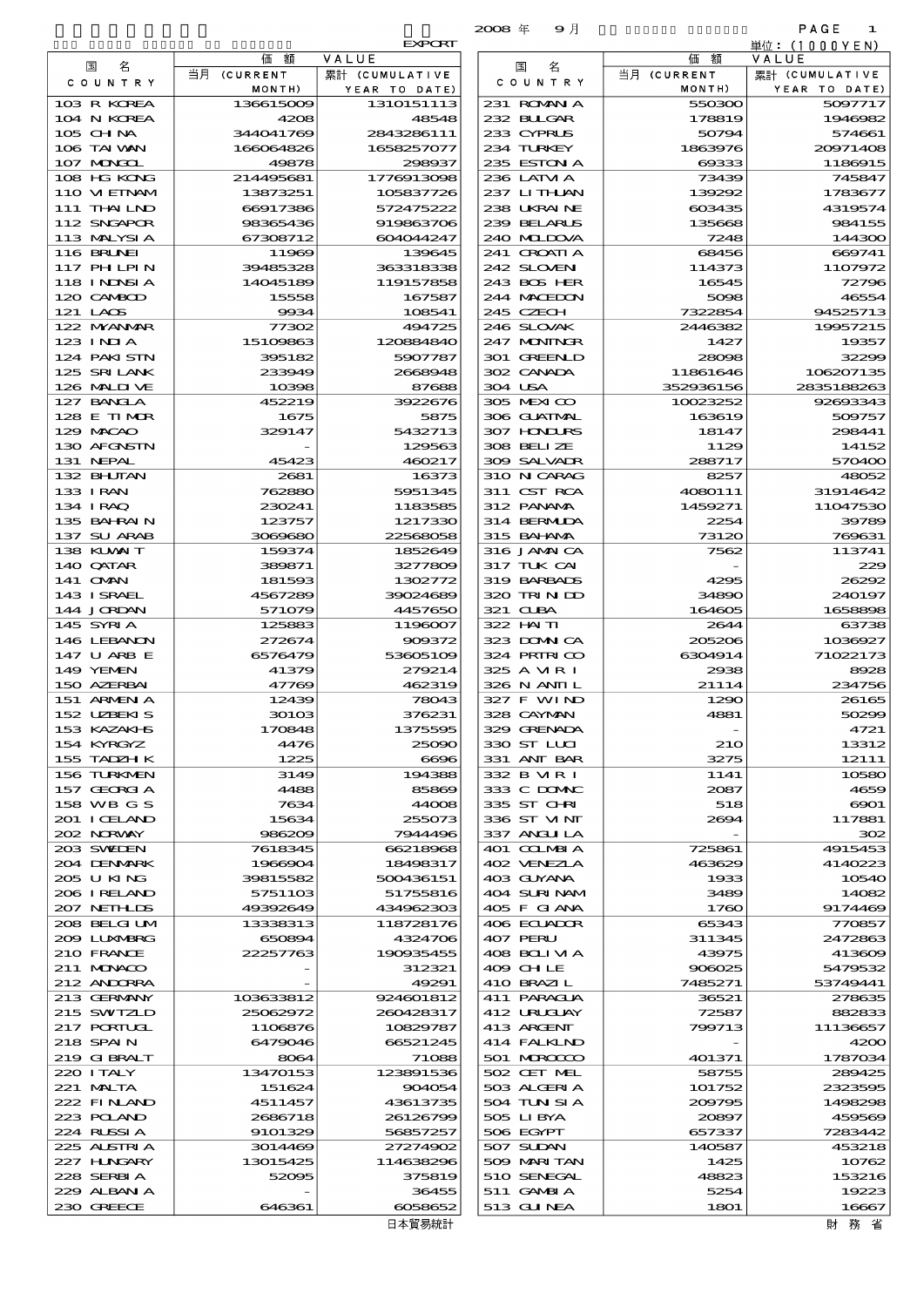|                             |                        |                          | $2008 \text{ } \#$<br>9月   |                       | PAGE<br>1               |
|-----------------------------|------------------------|--------------------------|----------------------------|-----------------------|-------------------------|
|                             |                        | <b>EXPORT</b>            |                            |                       | 単位:(1000YEN)            |
| 名<br>国                      | 価<br>額<br>当月 (CURRENT  | VALUE<br>累計 (CUMULATIVE  | 名<br>国                     | 額<br>価<br>当月 (CURRENT | VALUE<br>累計 (CUMULATIVE |
| C O U N T R Y               | MONTH)                 | YEAR TO DATE)            | C O U N T R Y              | MONTH)                | YEAR TO DATE)           |
| 103 R KOREA                 | 136615009              | 1310151113               | 231 ROMANIA                | 550300                | 5097717                 |
| 104 N KOREA                 | 4208                   | 48548                    | 232 BLLGAR                 | 178819                | 1946982                 |
| 105 CHNA<br>106 TAI WAN     | 344041769<br>166064826 | 2843286111<br>1658257077 | 233 CYPRUS<br>234 TURKEY   | 50794<br>1863976      | 574661<br>20971408      |
| 107 MONGOL                  | 49878                  | 298937                   | 235 ESTON A                | 69333                 | 1186915                 |
| 108 HG KONG                 | 214495681              | 1776913098               | 236 LATM A                 | 73439                 | 745847                  |
| 110 VIETNAM                 | 13873251               | 105837726                | 237 LITHLAN                | 139292                | 1783677                 |
| 111 THAILND<br>112 SNGAPOR  | 66917386               | 572475222                | 238 UKRAINE                | 603435                | 4319574                 |
| 113 MALYSIA                 | 98365436<br>67308712   | 919863706<br>604044247   | 239 BELARUS<br>240 MIDOVA  | 135668<br>7248        | 984155<br>144300        |
| 116 BRUNEI                  | 11969                  | 139645                   | 241 CROATIA                | 68456                 | 669741                  |
| 117 PHLPIN                  | 39485328               | 363318338                | 242 SLOVENI                | 114373                | 1107972                 |
| 118 I NDNSI A               | 14045189               | 119157858                | 243 BOS HER                | 16545                 | 72796                   |
| 120 CAMBOD<br>121 LAOS      | 15558<br>9934          | 167587<br>108541         | 244 MACEDON<br>245 CZECH   | 5098<br>7322854       | 46554<br>94525713       |
| 122 MYANAR                  | 77302                  | 494725                   | 246 SLOVAK                 | 2446382               | 19957215                |
| $123$ INJA                  | 15109863               | 120884840                | 247 MONINGR                | 1427                  | 19357                   |
| 124 PAKISTN                 | 395182                 | 5907787                  | 301 GREENLD                | 28098                 | 32299                   |
| 125 SRILANK<br>126 MALINE   | 233949<br>10398        | 2668948<br>87688         | 302 CANADA<br>304 USA      | 11861646<br>352936156 | 106207135<br>2835188263 |
| 127 BANCLA                  | 452219                 | 3922676                  | 305 MEXICO                 | 10023252              | 92693343                |
| 128 E TIMOR                 | 1675                   | 5875                     | 306 GUATMAL                | 163619                | 509757                  |
| 129 MACAO                   | 329147                 | 5432713                  | <b>307 HONLIKS</b>         | 18147                 | 298441                  |
| 130 AFGNSTN<br>131 NEPAL    | 45423                  | 129563<br>460217         | 308 BELIZE<br>309 SALVADR  | 1129<br>288717        | 14152<br>570400         |
| 132 BHUTAN                  | 2681                   | 16373                    | 310 N CARAG                | 8257                  | 48052                   |
| 133 IRAN                    | 762880                 | 5951345                  | 311 CST RCA                | 4080111               | 31914642                |
| 134 I RAQ                   | 230241                 | 1183585                  | 312 PANAMA                 | 1459271               | 11047530                |
| 135 BAHRAIN<br>137 SU ARAB  | 123757<br>3069680      | 1217330<br>22568058      | 314 BERMUDA<br>315 BAHAMA  | 2254<br>73120         | 39789<br>769631         |
| 138 KUWAIT                  | 159374                 | 1852649                  | 316 JAMAICA                | 7562                  | 113741                  |
| 140 QATAR                   | 389871                 | 3277809                  | 317 TUK CAI                |                       | 229                     |
| 141 CMN                     | 181593                 | 1302772                  | 319 BARBADS                | 4295                  | 26292                   |
| 143 ISRAEL                  | 4567289                | 39024689<br>4457650      | 320 TRIN DD                | 34890                 | 240197                  |
| 144 JORDAN<br>145 SYRIA     | 571079<br>125883       | 1196007                  | 321 CUBA<br>322 HAITI      | 164605<br>2644        | 1658898<br>63738        |
| 146 LEBANON                 | 272674                 | 909372                   | 323 DOMNICA                | 205206                | 1036927                 |
| 147 U ARB E                 | 6576479                | 53605109                 | 324 PRIRICO                | 6304914               | 71022173                |
| 149 YEMEN                   | 41379                  | 279214                   | 325 A VIR I                | 2938                  | 8928<br>234756          |
| 150 AZERBAI<br>151 ARMEN A  | 47769<br>12439         | 462319<br>78043          | 326 N ANII L<br>327 F WIND | 21114<br>1290         | 26165                   |
| 152 UZEKIS                  | 30103                  | 376231                   | 328 CAYMAN                 | 4881                  | 50299                   |
| 153 KAZAKI B                | 170848                 | 1375595                  | 329 GRENADA                |                       | 4721                    |
| 154 KYRGYZ                  | 4476<br>1225           | 25090<br>6696            | 330 ST LUI                 | <b>210</b>            | 13312                   |
| 155 TADZH K<br>156 TURKMEN  | 3149                   | 194388                   | 331 ANT BAR<br>332 B MR I  | 3275<br>1141          | 12111<br>10580          |
| 157 GEORGIA                 | 4488                   | 85869                    | 333 C DOMAC                | 2087                  | 4659                    |
| 158 WB G S                  | 7634                   | 44008                    | 335 ST CHRI                | 518                   | $\infty$                |
| 201 I CELAND                | 15634                  | 255073                   | 336 ST VINT                | 2694                  | 117881                  |
| 202 NORWAY<br>203 SWIDEN    | 986209<br>7618345      | 7944496<br>66218968      | 337 ANGLILA<br>401 COLMBIA | 725861                | 302<br>4915453          |
| 204 DENMARK                 | 1966904                | 18498317                 | 402 VENEZIA                | 463629                | 4140223                 |
| 205 U KING                  | 39815582               | 500436151                | 403 GUYANA                 | 1933                  | 10540                   |
| 206 I RELAND<br>207 NETHLIS | 5751103<br>49392649    | 51755816<br>434962303    | 404 SURINAM<br>405 F GIANA | 3489<br>1760          | 14082<br>9174469        |
| 208 BELGI UM                | 13338313               | 118728176                | 406 ECUADOR                | 65343                 | 770857                  |
| 2009 LUNABRG                | 650894                 | 4324706                  | 407 PERU                   | 311345                | 2472863                 |
| 210 FRANCE                  | 22257763               | 190935455                | 408 BOLI VI A              | 43975                 | 413609                  |
| 211 MUNACO<br>212 ANDORRA   |                        | 312321<br>49291          | 409 CHLE<br>410 BRAZI L    | 906025<br>7485271     | 5479532<br>53749441     |
| 213 GERMANY                 | 103633812              | 924601812                | 411 PARAGUA                | 36521                 | 278635                  |
| 215 SWIZLD                  | 25062972               | 260428317                | 412 URUCUAY                | 72587                 | 882833                  |
| 217 PORTUGL                 | 1106876                | 10829787                 | 413 ARGENT                 | 799713                | 11136657                |
| 218 SPAIN<br>219 GIBRALT    | 6479046<br>8064        | 66521245<br>71088        | 414 FALKLND<br>501 MROCCO  | 401371                | 4200<br>1787034         |
| 220 I TALY                  | 13470153               | 123891536                | 502 CET MEL                | 58755                 | 289425                  |
| 221 MALTA                   | 151624                 | 904054                   | 503 ALGERIA                | 101752                | 2323595                 |
| 222 FINAND                  | 4511457                | 43613735                 | 504 TUN SI A               | 209795                | 1498298                 |
| 223 POLAND<br>224 RUSSIA    | 2686718<br>9101329     | 26126799<br>56857257     | 505 LIBYA<br>506 EGYPT     | 20897<br>657337       | 459569<br>7283442       |
| 225 ALSTRIA                 | 3014469                | 27274902                 | 507 SUDAN                  | 140587                | 453218                  |
| 227 H.NGARY                 | 13015425               | 114638296                | 509 MARITAN                | 1425                  | 10762                   |
| 228 SERBIA                  | 52095                  | 375819                   | 510 SENEGAL                | 48823                 | 153216                  |
| 229 ALBAN A<br>230 GREECE   | 646361                 | 36455<br>6058652         | 511 GAMBIA<br>513 GUNEA    | 5254<br>1801          | 19223<br>16667          |
|                             |                        |                          |                            |                       |                         |

|                                          |                      | <b>EXPORT</b>               |
|------------------------------------------|----------------------|-----------------------------|
| 国<br>名                                   | 価<br>額               | VALUE                       |
| O U N T R Y                              | 当月 (CURRENT          | 累計 (CUMULATIVE              |
| R KOREA                                  | MONTH)<br>136615009  | YEAR TO DATE)<br>1310151113 |
| N KOREA                                  | 4208                 | 48548                       |
| $\sim$ CHNA                              | 344041769            | 2843286111                  |
| <b>TAI WAN</b>                           | 166064826            | 1658257077                  |
| MONGOL                                   | 49878                | 298937                      |
| HG KONG                                  | 214495681            | 1776913098                  |
| ) MEINAM<br><b>THAILND</b>               | 13873251             | 105837726                   |
| <b>SNGAPOR</b>                           | 66917386<br>98365436 | 572475222<br>919863706      |
| : MALYSI A                               | 67308712             | 604044247                   |
| <b>BRUNEI</b>                            | 11969                | 139645                      |
| ' PHLPIN                                 | 39485328             | 363318338                   |
| 3 I NDNSI A                              | 14045189             | 119157858                   |
| <b>CAMBOD</b><br>LAOS                    | 15558<br>9934        | 167587<br>108541            |
| : MYANMAR                                | 77302                | 494725                      |
| $\sqrt{1}$ $\overline{M}$ $\overline{A}$ | 15109863             | 120884840                   |
| ⊦ PAKISTN                                | 395182               | 5907787                     |
| <b>SRILANK</b>                           | 233949               | 2668948                     |
| <b>MILIVE</b>                            | 10398                | 87688                       |
| <b>BANGLA</b><br><b>ETIMOR</b>           | 452219<br>1675       | 3922676<br>5875             |
| MACAO                                    | 329147               | 5432713                     |
| <b>AFONSTN</b>                           |                      | 129563                      |
| NEPAL                                    | 45423                | 460217                      |
| <b>BHUTAN</b>                            | 2681                 | 16373                       |
| <b>IRAN</b>                              | 762880               | 5951345                     |
| IRAQ<br>i BAHRAIN                        | 230241<br>123757     | 1183585<br>1217330          |
| <b>SU ARAB</b>                           | 3089680              | 22568058                    |
| 6 KUWAIT                                 | 159374               | 1852649                     |
| ) QATAR                                  | 389871               | 3277809                     |
| <b>OMN</b><br><b>ISRAEL</b>              | 181593<br>4567289    | 1302772<br>39024689         |
| FJORDAN                                  | 571079               | 4457650                     |
| SYRIA                                    | 125883               | 1196007                     |
| <b>SLEBANON</b>                          | 272674               | 909372                      |
| U ARBE                                   | 6576479              | 53605109                    |
| ) YEMEN<br><b>AZERBAI</b>                | 41379<br>47769       | 279214<br>462319            |
| <b>ARMENIA</b>                           | 12439                | 78043                       |
| : UZBEKIS                                | 30103                | 376231                      |
| KAZAKI B                                 | 170848               | 1375595                     |
| KYRGYZ<br><b>TADZH K</b>                 | 4476                 | 25090                       |
| <b>TURKMEN</b>                           | 1225<br>3149         | 6696<br>194388              |
| 'GEORGIA                                 | 4488                 | 85869                       |
| ; WB G S                                 | 7634                 | 44008                       |
| <b>I CELAND</b>                          | 15634                | 255073                      |
| : NORWAY                                 | 986209               | 7944496                     |
| SVEDEN<br><b>DENMARK</b>                 | 7618345<br>1966904   | 66218968<br>18498317        |
| <b>UKING</b>                             | 39815582             | 500436151                   |
| i RELAND                                 | 5751103              | 51755816                    |
| <b>NETH LIS</b>                          | 49392649             | 434962303                   |
| ; BELGI UM                               | 13338313             | 118728176                   |
| LUXMBRG<br><b>FRANCE</b>                 | 650894<br>22257763   | 4324706<br>190935455        |
| <b>MONACO</b>                            |                      | 312321                      |
| : ANDORRA                                |                      | 49291                       |
| <b>GERMANY</b>                           | 103633812            | 924601812                   |
| SWIZLD                                   | 25062972             | 260428317                   |
| <b>PORTUGL</b><br>SPAIN                  | 1106876<br>6479046   | 10829787<br>66521245        |
| <b>GIBRALT</b>                           | 8064                 | 71088                       |
| $\blacksquare$ i taly                    | 13470153             | 123891536                   |
| <b>MLTA</b>                              | 151624               | 904054                      |
| : FINLAND<br><b>FOLAND</b>               | 4511457<br>2686718   | 43613735<br>26126799        |
| ⊦ RUSSI A                                | 9101329              | 56857257                    |
| <b>ALSTRIA</b>                           | 3014469              | 27274902                    |
| ' HUNGARY                                | 13015425             | 114638296                   |
| SERBIA                                   | 52095                | 375819                      |
| ) ALBAN A<br>) GREECE                    | 646361               | 36455<br>6058652            |
|                                          |                      | 日本貿易統計                      |
|                                          |                      |                             |

財務省